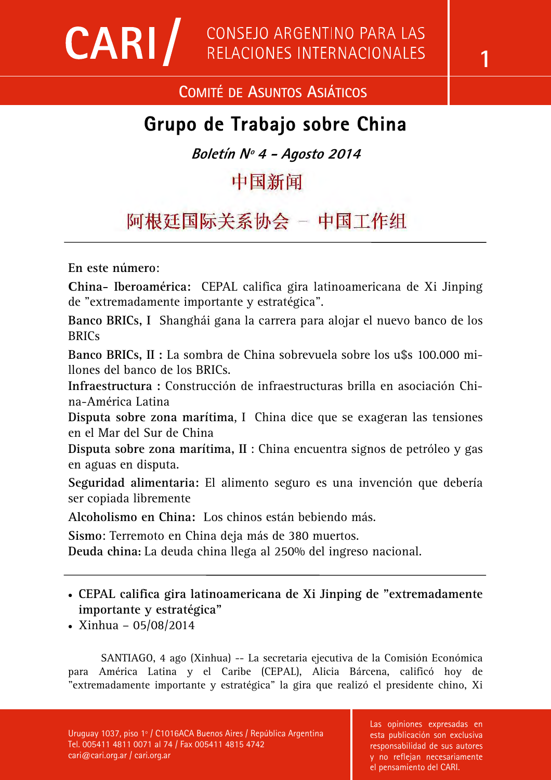## **COMITÉ DE ASUNTOS ASIÁTICOS**

# **Grupo de Trabajo sobre China**

**Boletín Nº 4 - Agosto 2014** 

中国新闻

阿根廷国际关系协会 - 中国工作组

**En este número**:

**China- Iberoamérica:** CEPAL califica gira latinoamericana de Xi Jinping de "extremadamente importante y estratégica".

**Banco BRICs, I** Shanghái gana la carrera para alojar el nuevo banco de los **BRICs** 

**Banco BRICs, II :** La sombra de China sobrevuela sobre los u\$s 100.000 millones del banco de los BRICs.

**Infraestructura :** Construcción de infraestructuras brilla en asociación China-América Latina

**Disputa sobre zona marítima**, I China dice que se exageran las tensiones en el Mar del Sur de China

**Disputa sobre zona marítima, II** : China encuentra signos de petróleo y gas en aguas en disputa.

**Seguridad alimentaria:** El alimento seguro es una invención que debería ser copiada libremente

**Alcoholismo en China:** Los chinos están bebiendo más.

**Sismo**: Terremoto en China deja más de 380 muertos.

**Deuda china:** La deuda china llega al 250% del ingreso nacional.

- **CEPAL califica gira latinoamericana de Xi Jinping de "extremadamente importante y estratégica"**
- Xinhua 05/08/2014

SANTIAGO, 4 ago (Xinhua) -- La secretaria ejecutiva de la Comisión Económica para América Latina y el Caribe (CEPAL), Alicia Bárcena, calificó hoy de "extremadamente importante y estratégica" la gira que realizó el presidente chino, Xi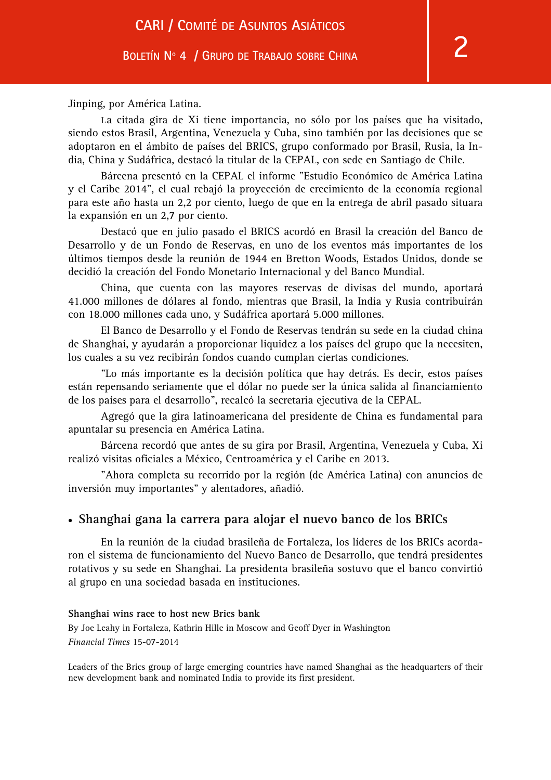Jinping, por América Latina.

La citada gira de Xi tiene importancia, no sólo por los países que ha visitado, siendo estos Brasil, Argentina, Venezuela y Cuba, sino también por las decisiones que se adoptaron en el ámbito de países del BRICS, grupo conformado por Brasil, Rusia, la India, China y Sudáfrica, destacó la titular de la CEPAL, con sede en Santiago de Chile.

Bárcena presentó en la CEPAL el informe "Estudio Económico de América Latina y el Caribe 2014", el cual rebajó la proyección de crecimiento de la economía regional para este año hasta un 2,2 por ciento, luego de que en la entrega de abril pasado situara la expansión en un 2,7 por ciento.

Destacó que en julio pasado el BRICS acordó en Brasil la creación del Banco de Desarrollo y de un Fondo de Reservas, en uno de los eventos más importantes de los últimos tiempos desde la reunión de 1944 en Bretton Woods, Estados Unidos, donde se decidió la creación del Fondo Monetario Internacional y del Banco Mundial.

China, que cuenta con las mayores reservas de divisas del mundo, aportará 41.000 millones de dólares al fondo, mientras que Brasil, la India y Rusia contribuirán con 18.000 millones cada uno, y Sudáfrica aportará 5.000 millones.

El Banco de Desarrollo y el Fondo de Reservas tendrán su sede en la ciudad china de Shanghai, y ayudarán a proporcionar liquidez a los países del grupo que la necesiten, los cuales a su vez recibirán fondos cuando cumplan ciertas condiciones.

"Lo más importante es la decisión política que hay detrás. Es decir, estos países están repensando seriamente que el dólar no puede ser la única salida al financiamiento de los países para el desarrollo", recalcó la secretaria ejecutiva de la CEPAL.

Agregó que la gira latinoamericana del presidente de China es fundamental para apuntalar su presencia en América Latina.

Bárcena recordó que antes de su gira por Brasil, Argentina, Venezuela y Cuba, Xi realizó visitas oficiales a México, Centroamérica y el Caribe en 2013.

"Ahora completa su recorrido por la región (de América Latina) con anuncios de inversión muy importantes" y alentadores, añadió.

#### • **Shanghai gana la carrera para alojar el nuevo banco de los BRICs**

En la reunión de la ciudad brasileña de Fortaleza, los líderes de los BRICs acordaron el sistema de funcionamiento del Nuevo Banco de Desarrollo, que tendrá presidentes rotativos y su sede en Shanghai. La presidenta brasileña sostuvo que el banco convirtió al grupo en una sociedad basada en instituciones.

#### **Shanghai wins race to host new Brics bank**

By Joe Leahy in Fortaleza, Kathrin Hille in Moscow and Geoff Dyer in Washington *Financial Times* 15-07-2014

Leaders of the Brics group of large emerging countries have named Shanghai as the headquarters of their new development bank and nominated India to provide its first president.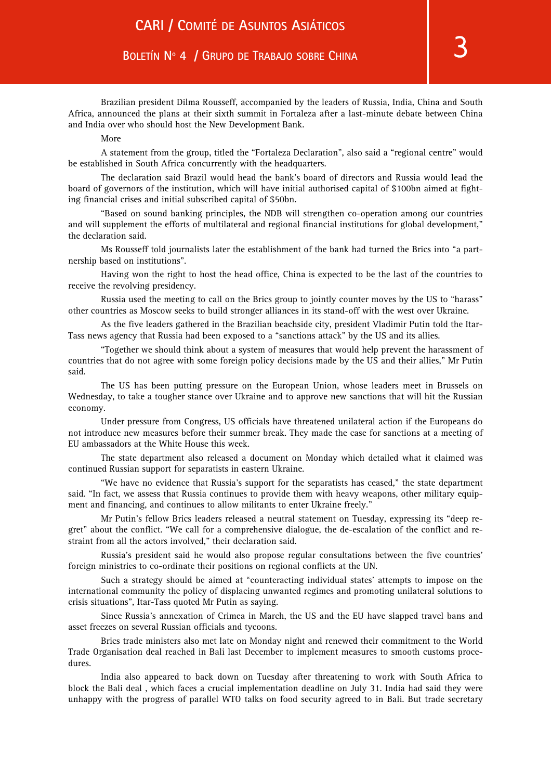#### More

A statement from the group, titled the "Fortaleza Declaration", also said a "regional centre" would be established in South Africa concurrently with the headquarters.

The declaration said Brazil would head the bank's board of directors and Russia would lead the board of governors of the institution, which will have initial authorised capital of \$100bn aimed at fighting financial crises and initial subscribed capital of \$50bn.

"Based on sound banking principles, the NDB will strengthen co-operation among our countries and will supplement the efforts of multilateral and regional financial institutions for global development," the declaration said.

Ms Rousseff told journalists later the establishment of the bank had turned the Brics into "a partnership based on institutions".

Having won the right to host the head office, China is expected to be the last of the countries to receive the revolving presidency.

Russia used the meeting to call on the Brics group to jointly counter moves by the US to "harass" other countries as Moscow seeks to build stronger alliances in its stand-off with the west over Ukraine.

As the five leaders gathered in the Brazilian beachside city, president Vladimir Putin told the Itar-Tass news agency that Russia had been exposed to a "sanctions attack" by the US and its allies.

"Together we should think about a system of measures that would help prevent the harassment of countries that do not agree with some foreign policy decisions made by the US and their allies," Mr Putin said.

The US has been putting pressure on the European Union, whose leaders meet in Brussels on Wednesday, to take a tougher stance over Ukraine and to approve new sanctions that will hit the Russian economy.

Under pressure from Congress, US officials have threatened unilateral action if the Europeans do not introduce new measures before their summer break. They made the case for sanctions at a meeting of EU ambassadors at the White House this week.

The state department also released a document on Monday which detailed what it claimed was continued Russian support for separatists in eastern Ukraine.

"We have no evidence that Russia's support for the separatists has ceased," the state department said. "In fact, we assess that Russia continues to provide them with heavy weapons, other military equipment and financing, and continues to allow militants to enter Ukraine freely."

Mr Putin's fellow Brics leaders released a neutral statement on Tuesday, expressing its "deep regret" about the conflict. "We call for a comprehensive dialogue, the de-escalation of the conflict and restraint from all the actors involved," their declaration said.

Russia's president said he would also propose regular consultations between the five countries' foreign ministries to co-ordinate their positions on regional conflicts at the UN.

Such a strategy should be aimed at "counteracting individual states' attempts to impose on the international community the policy of displacing unwanted regimes and promoting unilateral solutions to crisis situations", Itar-Tass quoted Mr Putin as saying.

Since Russia's annexation of Crimea in March, the US and the EU have slapped travel bans and asset freezes on several Russian officials and tycoons.

Brics trade ministers also met late on Monday night and renewed their commitment to the World Trade Organisation deal reached in Bali last December to implement measures to smooth customs procedures.

India also appeared to back down on Tuesday after threatening to work with South Africa to block the Bali deal , which faces a crucial implementation deadline on July 31. India had said they were unhappy with the progress of parallel WTO talks on food security agreed to in Bali. But trade secretary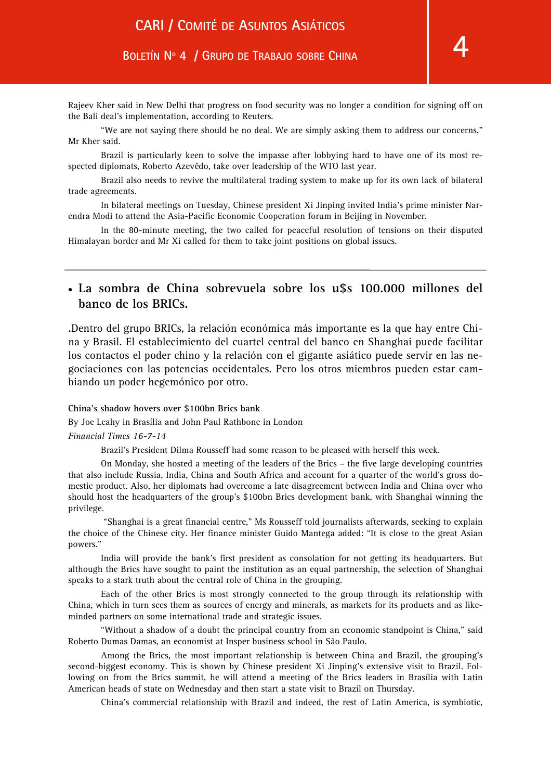Rajeev Kher said in New Delhi that progress on food security was no longer a condition for signing off on the Bali deal's implementation, according to Reuters.

"We are not saying there should be no deal. We are simply asking them to address our concerns," Mr Kher said.

Brazil is particularly keen to solve the impasse after lobbying hard to have one of its most respected diplomats, Roberto Azevêdo, take over leadership of the WTO last year.

Brazil also needs to revive the multilateral trading system to make up for its own lack of bilateral trade agreements.

In bilateral meetings on Tuesday, Chinese president Xi Jinping invited India's prime minister Narendra Modi to attend the Asia-Pacific Economic Cooperation forum in Beijing in November.

In the 80-minute meeting, the two called for peaceful resolution of tensions on their disputed Himalayan border and Mr Xi called for them to take joint positions on global issues.

## • **La sombra de China sobrevuela sobre los u\$s 100.000 millones del banco de los BRICs.**

.Dentro del grupo BRICs, la relación económica más importante es la que hay entre China y Brasil. El establecimiento del cuartel central del banco en Shanghai puede facilitar los contactos el poder chino y la relación con el gigante asiático puede servir en las negociaciones con las potencias occidentales. Pero los otros miembros pueden estar cambiando un poder hegemónico por otro.

#### **China's shadow hovers over \$100bn Brics bank**

By Joe Leahy in Brasília and John Paul Rathbone in London

*Financial Times 16-7-14*

Brazil's President Dilma Rousseff had some reason to be pleased with herself this week.

On Monday, she hosted a meeting of the leaders of the Brics – the five large developing countries that also include Russia, India, China and South Africa and account for a quarter of the world's gross domestic product. Also, her diplomats had overcome a late disagreement between India and China over who should host the headquarters of the group's \$100bn Brics development bank, with Shanghai winning the privilege.

 "Shanghai is a great financial centre," Ms Rousseff told journalists afterwards, seeking to explain the choice of the Chinese city. Her finance minister Guido Mantega added: "It is close to the great Asian powers."

India will provide the bank's first president as consolation for not getting its headquarters. But although the Brics have sought to paint the institution as an equal partnership, the selection of Shanghai speaks to a stark truth about the central role of China in the grouping.

Each of the other Brics is most strongly connected to the group through its relationship with China, which in turn sees them as sources of energy and minerals, as markets for its products and as likeminded partners on some international trade and strategic issues.

"Without a shadow of a doubt the principal country from an economic standpoint is China," said Roberto Dumas Damas, an economist at Insper business school in São Paulo.

Among the Brics, the most important relationship is between China and Brazil, the grouping's second-biggest economy. This is shown by Chinese president Xi Jinping's extensive visit to Brazil. Following on from the Brics summit, he will attend a meeting of the Brics leaders in Brasília with Latin American heads of state on Wednesday and then start a state visit to Brazil on Thursday.

China's commercial relationship with Brazil and indeed, the rest of Latin America, is symbiotic,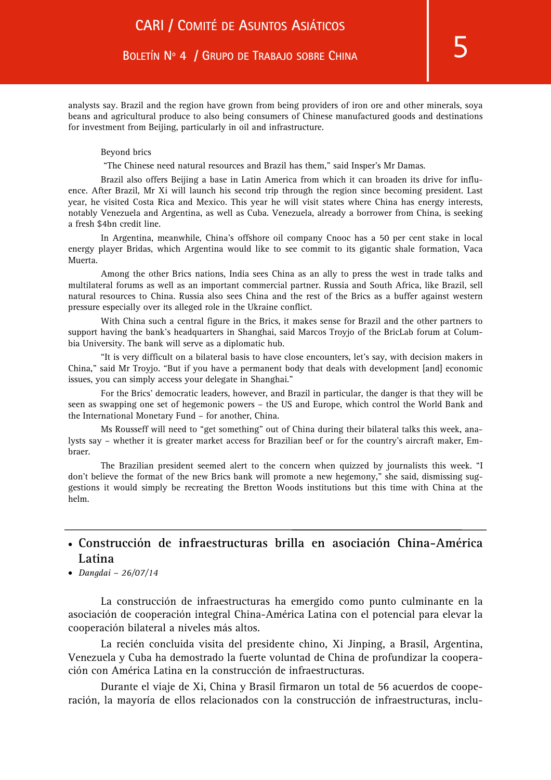analysts say. Brazil and the region have grown from being providers of iron ore and other minerals, soya beans and agricultural produce to also being consumers of Chinese manufactured goods and destinations for investment from Beijing, particularly in oil and infrastructure.

#### Beyond brics

"The Chinese need natural resources and Brazil has them," said Insper's Mr Damas.

Brazil also offers Beijing a base in Latin America from which it can broaden its drive for influence. After Brazil, Mr Xi will launch his second trip through the region since becoming president. Last year, he visited Costa Rica and Mexico. This year he will visit states where China has energy interests, notably Venezuela and Argentina, as well as Cuba. Venezuela, already a borrower from China, is seeking a fresh \$4bn credit line.

In Argentina, meanwhile, China's offshore oil company Cnooc has a 50 per cent stake in local energy player Bridas, which Argentina would like to see commit to its gigantic shale formation, Vaca Muerta.

Among the other Brics nations, India sees China as an ally to press the west in trade talks and multilateral forums as well as an important commercial partner. Russia and South Africa, like Brazil, sell natural resources to China. Russia also sees China and the rest of the Brics as a buffer against western pressure especially over its alleged role in the Ukraine conflict.

With China such a central figure in the Brics, it makes sense for Brazil and the other partners to support having the bank's headquarters in Shanghai, said Marcos Troyjo of the BricLab forum at Columbia University. The bank will serve as a diplomatic hub.

"It is very difficult on a bilateral basis to have close encounters, let's say, with decision makers in China," said Mr Troyjo. "But if you have a permanent body that deals with development [and] economic issues, you can simply access your delegate in Shanghai."

For the Brics' democratic leaders, however, and Brazil in particular, the danger is that they will be seen as swapping one set of hegemonic powers – the US and Europe, which control the World Bank and the International Monetary Fund – for another, China.

Ms Rousseff will need to "get something" out of China during their bilateral talks this week, analysts say – whether it is greater market access for Brazilian beef or for the country's aircraft maker, Embraer.

The Brazilian president seemed alert to the concern when quizzed by journalists this week. "I don't believe the format of the new Brics bank will promote a new hegemony," she said, dismissing suggestions it would simply be recreating the Bretton Woods institutions but this time with China at the helm.

## • **Construcción de infraestructuras brilla en asociación China-América Latina**

• *Dangdai – 26/07/14* 

La construcción de infraestructuras ha emergido como punto culminante en la asociación de cooperación integral China-América Latina con el potencial para elevar la cooperación bilateral a niveles más altos.

La recién concluida visita del presidente chino, Xi Jinping, a Brasil, Argentina, Venezuela y Cuba ha demostrado la fuerte voluntad de China de profundizar la cooperación con América Latina en la construcción de infraestructuras.

Durante el viaje de Xi, China y Brasil firmaron un total de 56 acuerdos de cooperación, la mayoría de ellos relacionados con la construcción de infraestructuras, inclu-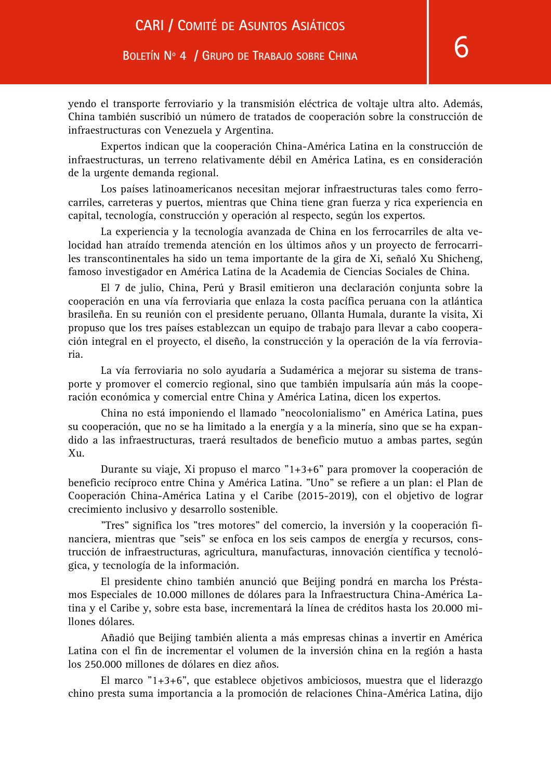yendo el transporte ferroviario y la transmisión eléctrica de voltaje ultra alto. Además, China también suscribió un número de tratados de cooperación sobre la construcción de infraestructuras con Venezuela y Argentina.

Expertos indican que la cooperación China-América Latina en la construcción de infraestructuras, un terreno relativamente débil en América Latina, es en consideración de la urgente demanda regional.

Los países latinoamericanos necesitan mejorar infraestructuras tales como ferrocarriles, carreteras y puertos, mientras que China tiene gran fuerza y rica experiencia en capital, tecnología, construcción y operación al respecto, según los expertos.

La experiencia y la tecnología avanzada de China en los ferrocarriles de alta velocidad han atraído tremenda atención en los últimos años y un proyecto de ferrocarriles transcontinentales ha sido un tema importante de la gira de Xi, señaló Xu Shicheng, famoso investigador en América Latina de la Academia de Ciencias Sociales de China.

El 7 de julio, China, Perú y Brasil emitieron una declaración conjunta sobre la cooperación en una vía ferroviaria que enlaza la costa pacífica peruana con la atlántica brasileña. En su reunión con el presidente peruano, Ollanta Humala, durante la visita, Xi propuso que los tres países establezcan un equipo de trabajo para llevar a cabo cooperación integral en el proyecto, el diseño, la construcción y la operación de la vía ferroviaria.

La vía ferroviaria no solo ayudaría a Sudamérica a mejorar su sistema de transporte y promover el comercio regional, sino que también impulsaría aún más la cooperación económica y comercial entre China y América Latina, dicen los expertos.

China no está imponiendo el llamado "neocolonialismo" en América Latina, pues su cooperación, que no se ha limitado a la energía y a la minería, sino que se ha expandido a las infraestructuras, traerá resultados de beneficio mutuo a ambas partes, según  $X_{11}$ .

Durante su viaje, Xi propuso el marco "1+3+6" para promover la cooperación de beneficio recíproco entre China y América Latina. "Uno" se refiere a un plan: el Plan de Cooperación China-América Latina y el Caribe (2015-2019), con el objetivo de lograr crecimiento inclusivo y desarrollo sostenible.

"Tres" significa los "tres motores" del comercio, la inversión y la cooperación financiera, mientras que "seis" se enfoca en los seis campos de energía y recursos, construcción de infraestructuras, agricultura, manufacturas, innovación científica y tecnológica, y tecnología de la información.

El presidente chino también anunció que Beijing pondrá en marcha los Préstamos Especiales de 10.000 millones de dólares para la Infraestructura China-América Latina y el Caribe y, sobre esta base, incrementará la línea de créditos hasta los 20.000 millones dólares.

Añadió que Beijing también alienta a más empresas chinas a invertir en América Latina con el fin de incrementar el volumen de la inversión china en la región a hasta los 250.000 millones de dólares en diez años.

El marco "1+3+6", que establece objetivos ambiciosos, muestra que el liderazgo chino presta suma importancia a la promoción de relaciones China-América Latina, dijo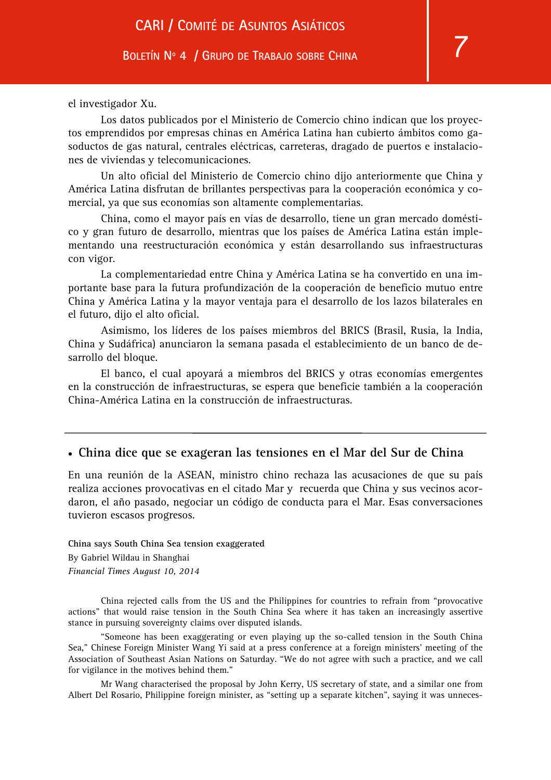el investigador Xu.

Los datos publicados por el Ministerio de Comercio chino indican que los proyectos emprendidos por empresas chinas en América Latina han cubierto ámbitos como gasoductos de gas natural, centrales eléctricas, carreteras, dragado de puertos e instalaciones de viviendas y telecomunicaciones.

Un alto oficial del Ministerio de Comercio chino dijo anteriormente que China y América Latina disfrutan de brillantes perspectivas para la cooperación económica y comercial, ya que sus economías son altamente complementarias.

China, como el mayor país en vías de desarrollo, tiene un gran mercado doméstico y gran futuro de desarrollo, mientras que los países de América Latina están implementando una reestructuración económica y están desarrollando sus infraestructuras con vigor.

La complementariedad entre China y América Latina se ha convertido en una importante base para la futura profundización de la cooperación de beneficio mutuo entre China y América Latina y la mayor ventaja para el desarrollo de los lazos bilaterales en el futuro, dijo el alto oficial.

Asimismo, los líderes de los países miembros del BRICS (Brasil, Rusia, la India, China y Sudáfrica) anunciaron la semana pasada el establecimiento de un banco de desarrollo del bloque.

El banco, el cual apoyará a miembros del BRICS y otras economías emergentes en la construcción de infraestructuras, se espera que beneficie también a la cooperación China-América Latina en la construcción de infraestructuras.

## • **China dice que se exageran las tensiones en el Mar del Sur de China**

En una reunión de la ASEAN, ministro chino rechaza las acusaciones de que su país realiza acciones provocativas en el citado Mar y recuerda que China y sus vecinos acordaron, el año pasado, negociar un código de conducta para el Mar. Esas conversaciones tuvieron escasos progresos.

**China says South China Sea tension exaggerated** By Gabriel Wildau in Shanghai *Financial Times August 10, 2014* 

China rejected calls from the US and the Philippines for countries to refrain from "provocative actions" that would raise tension in the South China Sea where it has taken an increasingly assertive stance in pursuing sovereignty claims over disputed islands.

"Someone has been exaggerating or even playing up the so-called tension in the South China Sea," Chinese Foreign Minister Wang Yi said at a press conference at a foreign ministers' meeting of the Association of Southeast Asian Nations on Saturday. "We do not agree with such a practice, and we call for vigilance in the motives behind them."

Mr Wang characterised the proposal by John Kerry, US secretary of state, and a similar one from Albert Del Rosario, Philippine foreign minister, as "setting up a separate kitchen", saying it was unneces-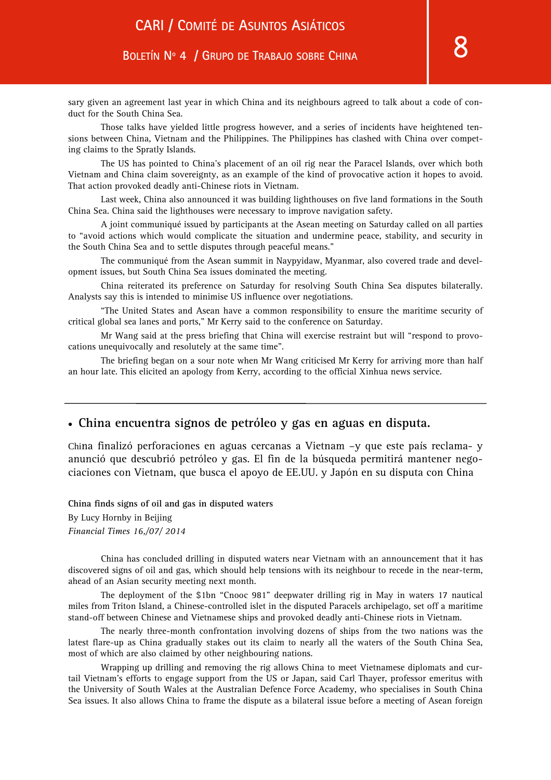sary given an agreement last year in which China and its neighbours agreed to talk about a code of conduct for the South China Sea.

Those talks have yielded little progress however, and a series of incidents have heightened tensions between China, Vietnam and the Philippines. The Philippines has clashed with China over competing claims to the Spratly Islands.

The US has pointed to China's placement of an oil rig near the Paracel Islands, over which both Vietnam and China claim sovereignty, as an example of the kind of provocative action it hopes to avoid. That action provoked deadly anti-Chinese riots in Vietnam.

Last week, China also announced it was building lighthouses on five land formations in the South China Sea. China said the lighthouses were necessary to improve navigation safety.

A joint communiqué issued by participants at the Asean meeting on Saturday called on all parties to "avoid actions which would complicate the situation and undermine peace, stability, and security in the South China Sea and to settle disputes through peaceful means."

The communiqué from the Asean summit in Naypyidaw, Myanmar, also covered trade and development issues, but South China Sea issues dominated the meeting.

China reiterated its preference on Saturday for resolving South China Sea disputes bilaterally. Analysts say this is intended to minimise US influence over negotiations.

"The United States and Asean have a common responsibility to ensure the maritime security of critical global sea lanes and ports," Mr Kerry said to the conference on Saturday.

Mr Wang said at the press briefing that China will exercise restraint but will "respond to provocations unequivocally and resolutely at the same time".

The briefing began on a sour note when Mr Wang criticised Mr Kerry for arriving more than half an hour late. This elicited an apology from Kerry, according to the official Xinhua news service.

## • **China encuentra signos de petróleo y gas en aguas en disputa.**

China finalizó perforaciones en aguas cercanas a Vietnam –y que este país reclama- y anunció que descubrió petróleo y gas. El fin de la búsqueda permitirá mantener negociaciones con Vietnam, que busca el apoyo de EE.UU. y Japón en su disputa con China

**China finds signs of oil and gas in disputed waters**  By Lucy Hornby in Beijing *Financial Times 16,/07/ 2014* 

China has concluded drilling in disputed waters near Vietnam with an announcement that it has discovered signs of oil and gas, which should help tensions with its neighbour to recede in the near-term, ahead of an Asian security meeting next month.

The deployment of the \$1bn "Cnooc 981" deepwater drilling rig in May in waters 17 nautical miles from Triton Island, a Chinese-controlled islet in the disputed Paracels archipelago, set off a maritime stand-off between Chinese and Vietnamese ships and provoked deadly anti-Chinese riots in Vietnam.

The nearly three-month confrontation involving dozens of ships from the two nations was the latest flare-up as China gradually stakes out its claim to nearly all the waters of the South China Sea, most of which are also claimed by other neighbouring nations.

Wrapping up drilling and removing the rig allows China to meet Vietnamese diplomats and curtail Vietnam's efforts to engage support from the US or Japan, said Carl Thayer, professor emeritus with the University of South Wales at the Australian Defence Force Academy, who specialises in South China Sea issues. It also allows China to frame the dispute as a bilateral issue before a meeting of Asean foreign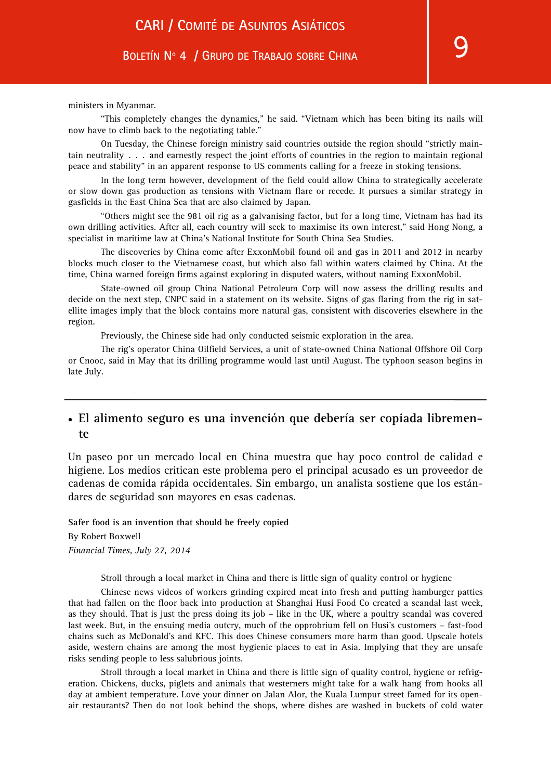ministers in Myanmar.

"This completely changes the dynamics," he said. "Vietnam which has been biting its nails will now have to climb back to the negotiating table."

On Tuesday, the Chinese foreign ministry said countries outside the region should "strictly maintain neutrality . . . and earnestly respect the joint efforts of countries in the region to maintain regional peace and stability" in an apparent response to US comments calling for a freeze in stoking tensions.

In the long term however, development of the field could allow China to strategically accelerate or slow down gas production as tensions with Vietnam flare or recede. It pursues a similar strategy in gasfields in the East China Sea that are also claimed by Japan.

"Others might see the 981 oil rig as a galvanising factor, but for a long time, Vietnam has had its own drilling activities. After all, each country will seek to maximise its own interest," said Hong Nong, a specialist in maritime law at China's National Institute for South China Sea Studies.

The discoveries by China come after ExxonMobil found oil and gas in 2011 and 2012 in nearby blocks much closer to the Vietnamese coast, but which also fall within waters claimed by China. At the time, China warned foreign firms against exploring in disputed waters, without naming ExxonMobil.

State-owned oil group China National Petroleum Corp will now assess the drilling results and decide on the next step, CNPC said in a statement on its website. Signs of gas flaring from the rig in satellite images imply that the block contains more natural gas, consistent with discoveries elsewhere in the region.

Previously, the Chinese side had only conducted seismic exploration in the area.

The rig's operator China Oilfield Services, a unit of state-owned China National Offshore Oil Corp or Cnooc, said in May that its drilling programme would last until August. The typhoon season begins in late July.

## • **El alimento seguro es una invención que debería ser copiada libremente**

Un paseo por un mercado local en China muestra que hay poco control de calidad e higiene. Los medios critican este problema pero el principal acusado es un proveedor de cadenas de comida rápida occidentales. Sin embargo, un analista sostiene que los estándares de seguridad son mayores en esas cadenas.

**Safer food is an invention that should be freely copied**  By Robert Boxwell *Financial Times, July 27, 2014* 

Stroll through a local market in China and there is little sign of quality control or hygiene

Chinese news videos of workers grinding expired meat into fresh and putting hamburger patties that had fallen on the floor back into production at Shanghai Husi Food Co created a scandal last week, as they should. That is just the press doing its job – like in the UK, where a poultry scandal was covered last week. But, in the ensuing media outcry, much of the opprobrium fell on Husi's customers – fast-food chains such as McDonald's and KFC. This does Chinese consumers more harm than good. Upscale hotels aside, western chains are among the most hygienic places to eat in Asia. Implying that they are unsafe risks sending people to less salubrious joints.

Stroll through a local market in China and there is little sign of quality control, hygiene or refrigeration. Chickens, ducks, piglets and animals that westerners might take for a walk hang from hooks all day at ambient temperature. Love your dinner on Jalan Alor, the Kuala Lumpur street famed for its openair restaurants? Then do not look behind the shops, where dishes are washed in buckets of cold water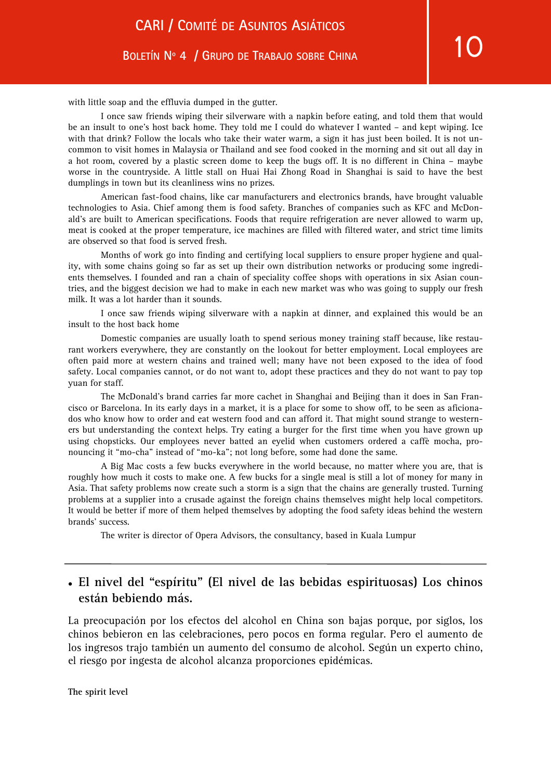with little soap and the effluvia dumped in the gutter.

I once saw friends wiping their silverware with a napkin before eating, and told them that would be an insult to one's host back home. They told me I could do whatever I wanted – and kept wiping. Ice with that drink? Follow the locals who take their water warm, a sign it has just been boiled. It is not uncommon to visit homes in Malaysia or Thailand and see food cooked in the morning and sit out all day in a hot room, covered by a plastic screen dome to keep the bugs off. It is no different in China – maybe worse in the countryside. A little stall on Huai Hai Zhong Road in Shanghai is said to have the best dumplings in town but its cleanliness wins no prizes.

American fast-food chains, like car manufacturers and electronics brands, have brought valuable technologies to Asia. Chief among them is food safety. Branches of companies such as KFC and McDonald's are built to American specifications. Foods that require refrigeration are never allowed to warm up, meat is cooked at the proper temperature, ice machines are filled with filtered water, and strict time limits are observed so that food is served fresh.

Months of work go into finding and certifying local suppliers to ensure proper hygiene and quality, with some chains going so far as set up their own distribution networks or producing some ingredients themselves. I founded and ran a chain of speciality coffee shops with operations in six Asian countries, and the biggest decision we had to make in each new market was who was going to supply our fresh milk. It was a lot harder than it sounds.

I once saw friends wiping silverware with a napkin at dinner, and explained this would be an insult to the host back home

Domestic companies are usually loath to spend serious money training staff because, like restaurant workers everywhere, they are constantly on the lookout for better employment. Local employees are often paid more at western chains and trained well; many have not been exposed to the idea of food safety. Local companies cannot, or do not want to, adopt these practices and they do not want to pay top yuan for staff.

The McDonald's brand carries far more cachet in Shanghai and Beijing than it does in San Francisco or Barcelona. In its early days in a market, it is a place for some to show off, to be seen as aficionados who know how to order and eat western food and can afford it. That might sound strange to westerners but understanding the context helps. Try eating a burger for the first time when you have grown up using chopsticks. Our employees never batted an eyelid when customers ordered a caffè mocha, pronouncing it "mo-cha" instead of "mo-ka"; not long before, some had done the same.

A Big Mac costs a few bucks everywhere in the world because, no matter where you are, that is roughly how much it costs to make one. A few bucks for a single meal is still a lot of money for many in Asia. That safety problems now create such a storm is a sign that the chains are generally trusted. Turning problems at a supplier into a crusade against the foreign chains themselves might help local competitors. It would be better if more of them helped themselves by adopting the food safety ideas behind the western brands' success.

The writer is director of Opera Advisors, the consultancy, based in Kuala Lumpur

## • **El nivel del "espíritu" (El nivel de las bebidas espirituosas) Los chinos están bebiendo más.**

La preocupación por los efectos del alcohol en China son bajas porque, por siglos, los chinos bebieron en las celebraciones, pero pocos en forma regular. Pero el aumento de los ingresos trajo también un aumento del consumo de alcohol. Según un experto chino, el riesgo por ingesta de alcohol alcanza proporciones epidémicas.

**The spirit level**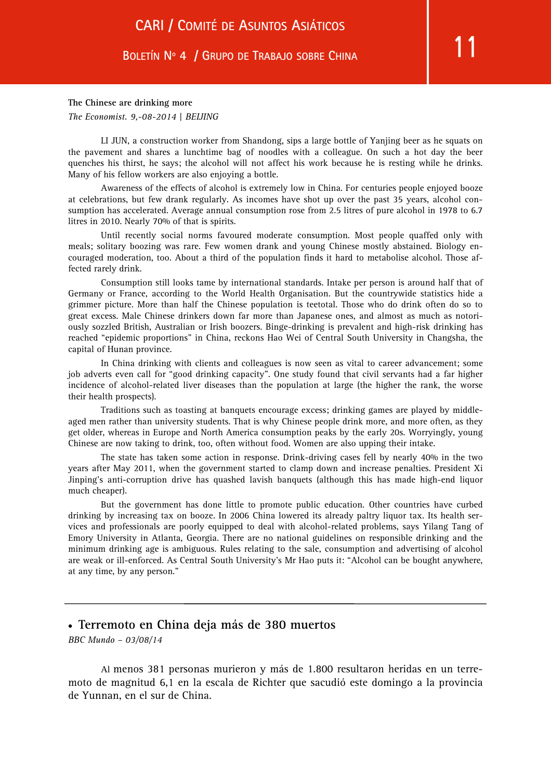#### **The Chinese are drinking more**

*The Economist. 9,-08-2014 | BEIJING* 

LI JUN, a construction worker from Shandong, sips a large bottle of Yanjing beer as he squats on the pavement and shares a lunchtime bag of noodles with a colleague. On such a hot day the beer quenches his thirst, he says; the alcohol will not affect his work because he is resting while he drinks. Many of his fellow workers are also enjoying a bottle.

Awareness of the effects of alcohol is extremely low in China. For centuries people enjoyed booze at celebrations, but few drank regularly. As incomes have shot up over the past 35 years, alcohol consumption has accelerated. Average annual consumption rose from 2.5 litres of pure alcohol in 1978 to 6.7 litres in 2010. Nearly 70% of that is spirits.

Until recently social norms favoured moderate consumption. Most people quaffed only with meals; solitary boozing was rare. Few women drank and young Chinese mostly abstained. Biology encouraged moderation, too. About a third of the population finds it hard to metabolise alcohol. Those affected rarely drink.

Consumption still looks tame by international standards. Intake per person is around half that of Germany or France, according to the World Health Organisation. But the countrywide statistics hide a grimmer picture. More than half the Chinese population is teetotal. Those who do drink often do so to great excess. Male Chinese drinkers down far more than Japanese ones, and almost as much as notoriously sozzled British, Australian or Irish boozers. Binge-drinking is prevalent and high-risk drinking has reached "epidemic proportions" in China, reckons Hao Wei of Central South University in Changsha, the capital of Hunan province.

In China drinking with clients and colleagues is now seen as vital to career advancement; some job adverts even call for "good drinking capacity". One study found that civil servants had a far higher incidence of alcohol-related liver diseases than the population at large (the higher the rank, the worse their health prospects).

Traditions such as toasting at banquets encourage excess; drinking games are played by middleaged men rather than university students. That is why Chinese people drink more, and more often, as they get older, whereas in Europe and North America consumption peaks by the early 20s. Worryingly, young Chinese are now taking to drink, too, often without food. Women are also upping their intake.

The state has taken some action in response. Drink-driving cases fell by nearly 40% in the two years after May 2011, when the government started to clamp down and increase penalties. President Xi Jinping's anti-corruption drive has quashed lavish banquets (although this has made high-end liquor much cheaper).

But the government has done little to promote public education. Other countries have curbed drinking by increasing tax on booze. In 2006 China lowered its already paltry liquor tax. Its health services and professionals are poorly equipped to deal with alcohol-related problems, says Yilang Tang of Emory University in Atlanta, Georgia. There are no national guidelines on responsible drinking and the minimum drinking age is ambiguous. Rules relating to the sale, consumption and advertising of alcohol are weak or ill-enforced. As Central South University's Mr Hao puts it: "Alcohol can be bought anywhere, at any time, by any person."

#### • **Terremoto en China deja más de 380 muertos**

*BBC Mundo – 03/08/14* 

Al menos 381 personas murieron y más de 1.800 resultaron heridas en un terremoto de magnitud 6,1 en la escala de Richter que sacudió este domingo a la provincia de Yunnan, en el sur de China.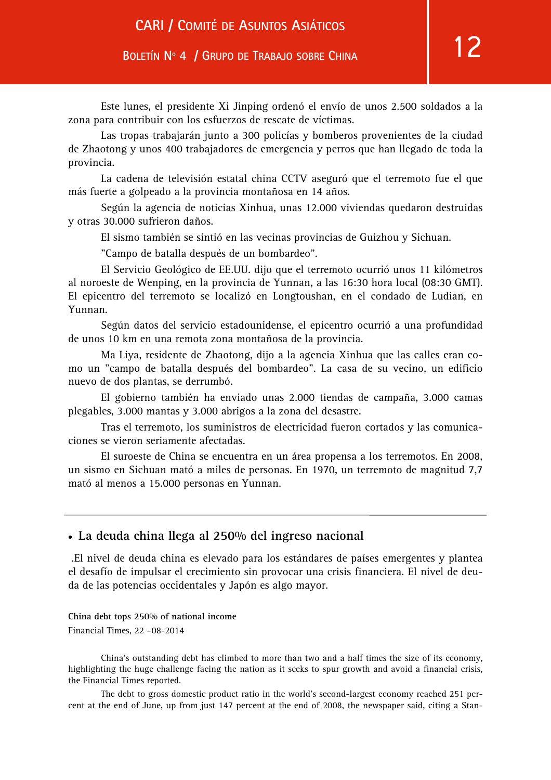Este lunes, el presidente Xi Jinping ordenó el envío de unos 2.500 soldados a la zona para contribuir con los esfuerzos de rescate de víctimas.

Las tropas trabajarán junto a 300 policías y bomberos provenientes de la ciudad de Zhaotong y unos 400 trabajadores de emergencia y perros que han llegado de toda la provincia.

La cadena de televisión estatal china CCTV aseguró que el terremoto fue el que más fuerte a golpeado a la provincia montañosa en 14 años.

Según la agencia de noticias Xinhua, unas 12.000 viviendas quedaron destruidas y otras 30.000 sufrieron daños.

El sismo también se sintió en las vecinas provincias de Guizhou y Sichuan.

"Campo de batalla después de un bombardeo".

El Servicio Geológico de EE.UU. dijo que el terremoto ocurrió unos 11 kilómetros al noroeste de Wenping, en la provincia de Yunnan, a las 16:30 hora local (08:30 GMT). El epicentro del terremoto se localizó en Longtoushan, en el condado de Ludian, en Yunnan.

Según datos del servicio estadounidense, el epicentro ocurrió a una profundidad de unos 10 km en una remota zona montañosa de la provincia.

Ma Liya, residente de Zhaotong, dijo a la agencia Xinhua que las calles eran como un "campo de batalla después del bombardeo". La casa de su vecino, un edificio nuevo de dos plantas, se derrumbó.

El gobierno también ha enviado unas 2.000 tiendas de campaña, 3.000 camas plegables, 3.000 mantas y 3.000 abrigos a la zona del desastre.

Tras el terremoto, los suministros de electricidad fueron cortados y las comunicaciones se vieron seriamente afectadas.

El suroeste de China se encuentra en un área propensa a los terremotos. En 2008, un sismo en Sichuan mató a miles de personas. En 1970, un terremoto de magnitud 7,7 mató al menos a 15.000 personas en Yunnan.

#### • **La deuda china llega al 250% del ingreso nacional**

 .El nivel de deuda china es elevado para los estándares de países emergentes y plantea el desafío de impulsar el crecimiento sin provocar una crisis financiera. El nivel de deuda de las potencias occidentales y Japón es algo mayor.

**China debt tops 250% of national income**  Financial Times, 22 –08-2014

China's outstanding debt has climbed to more than two and a half times the size of its economy, highlighting the huge challenge facing the nation as it seeks to spur growth and avoid a financial crisis, the Financial Times reported.

The debt to gross domestic product ratio in the world's second-largest economy reached 251 percent at the end of June, up from just 147 percent at the end of 2008, the newspaper said, citing a Stan-